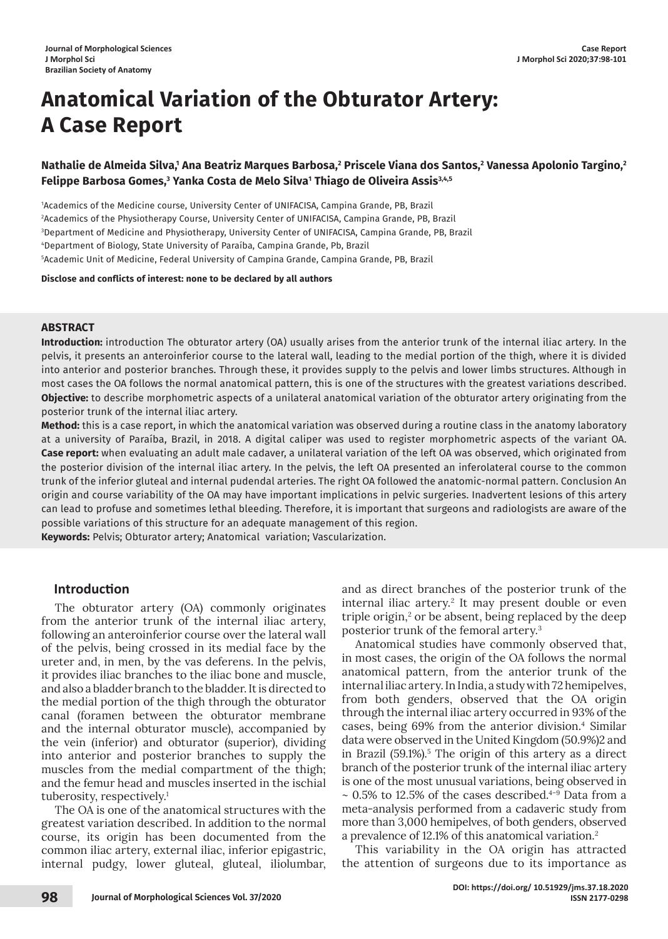# **Anatomical Variation of the Obturator Artery: A Case Report**

## Nathalie de Almeida Silva,' Ana Beatriz Marques Barbosa,<sup>2</sup> Priscele Viana dos Santos,<sup>2</sup> Vanessa Apolonio Targino,<sup>2</sup> Felippe Barbosa Gomes,<sup>3</sup> Yanka Costa de Melo Silva' Thiago de Oliveira Assis<sup>3,4,5</sup>

 Academics of the Medicine course, University Center of UNIFACISA, Campina Grande, PB, Brazil Academics of the Physiotherapy Course, University Center of UNIFACISA, Campina Grande, PB, Brazil Department of Medicine and Physiotherapy, University Center of UNIFACISA, Campina Grande, PB, Brazil Department of Biology, State University of Paraíba, Campina Grande, Pb, Brazil Academic Unit of Medicine, Federal University of Campina Grande, Campina Grande, PB, Brazil

**Disclose and conflicts of interest: none to be declared by all authors**

#### **ABSTRACT**

**Introduction:** introduction The obturator artery (OA) usually arises from the anterior trunk of the internal iliac artery. In the pelvis, it presents an anteroinferior course to the lateral wall, leading to the medial portion of the thigh, where it is divided into anterior and posterior branches. Through these, it provides supply to the pelvis and lower limbs structures. Although in most cases the OA follows the normal anatomical pattern, this is one of the structures with the greatest variations described. **Objective:** to describe morphometric aspects of a unilateral anatomical variation of the obturator artery originating from the posterior trunk of the internal iliac artery.

**Method:** this is a case report, in which the anatomical variation was observed during a routine class in the anatomy laboratory at a university of Paraíba, Brazil, in 2018. A digital caliper was used to register morphometric aspects of the variant OA. **Case report:** when evaluating an adult male cadaver, a unilateral variation of the left OA was observed, which originated from the posterior division of the internal iliac artery. In the pelvis, the left OA presented an inferolateral course to the common trunk of the inferior gluteal and internal pudendal arteries. The right OA followed the anatomic-normal pattern. Conclusion An origin and course variability of the OA may have important implications in pelvic surgeries. Inadvertent lesions of this artery can lead to profuse and sometimes lethal bleeding. Therefore, it is important that surgeons and radiologists are aware of the possible variations of this structure for an adequate management of this region.

**Keywords:** Pelvis; Obturator artery; Anatomical variation; Vascularization.

#### **Introduction**

The obturator artery (OA) commonly originates from the anterior trunk of the internal iliac artery, following an anteroinferior course over the lateral wall of the pelvis, being crossed in its medial face by the ureter and, in men, by the vas deferens. In the pelvis, it provides iliac branches to the iliac bone and muscle, and also a bladder branch to the bladder. It is directed to the medial portion of the thigh through the obturator canal (foramen between the obturator membrane and the internal obturator muscle), accompanied by the vein (inferior) and obturator (superior), dividing into anterior and posterior branches to supply the muscles from the medial compartment of the thigh; and the femur head and muscles inserted in the ischial tuberosity, respectively.1

The OA is one of the anatomical structures with the greatest variation described. In addition to the normal course, its origin has been documented from the common iliac artery, external iliac, inferior epigastric, internal pudgy, lower gluteal, gluteal, iliolumbar,

and as direct branches of the posterior trunk of the internal iliac artery.2 It may present double or even triple origin, $2$  or be absent, being replaced by the deep posterior trunk of the femoral artery.3

Anatomical studies have commonly observed that, in most cases, the origin of the OA follows the normal anatomical pattern, from the anterior trunk of the internal iliac artery. In India, a study with 72 hemipelves, from both genders, observed that the OA origin through the internal iliac artery occurred in 93% of the cases, being 69% from the anterior division.<sup>4</sup> Similar data were observed in the United Kingdom (50.9%)2 and in Brazil (59.1%).5 The origin of this artery as a direct branch of the posterior trunk of the internal iliac artery is one of the most unusual variations, being observed in  $\sim$  0.5% to 12.5% of the cases described.<sup>4-9</sup> Data from a meta-analysis performed from a cadaveric study from more than 3,000 hemipelves, of both genders, observed a prevalence of 12.1% of this anatomical variation.2

This variability in the OA origin has attracted the attention of surgeons due to its importance as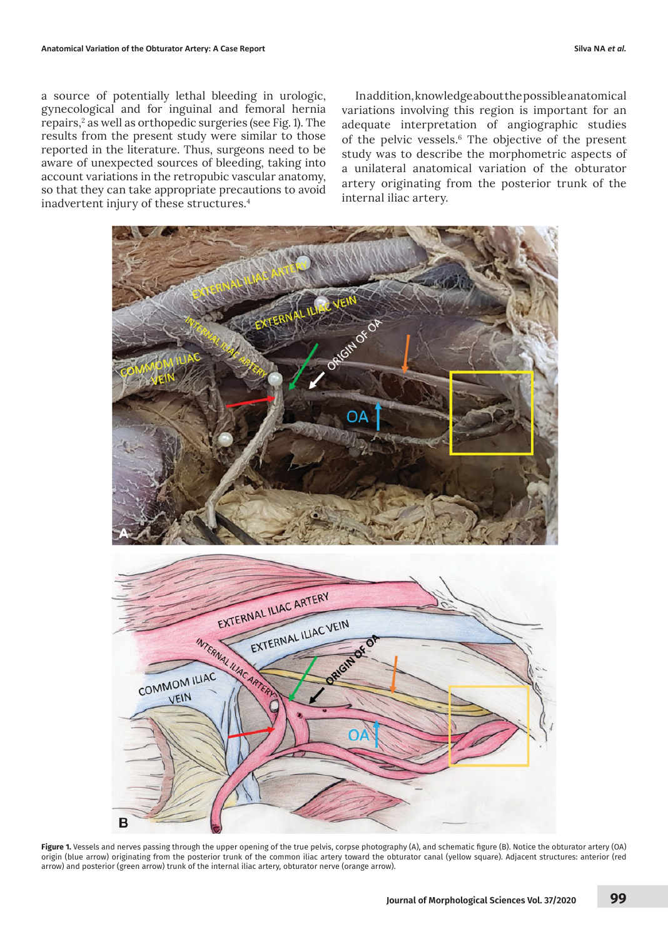a source of potentially lethal bleeding in urologic, gynecological and for inguinal and femoral hernia repairs,<sup>2</sup> as well as orthopedic surgeries (see Fig. 1). The results from the present study were similar to those reported in the literature. Thus, surgeons need to be aware of unexpected sources of bleeding, taking into account variations in the retropubic vascular anatomy, so that they can take appropriate precautions to avoid inadvertent injury of these structures.4

In addition, knowledge about the possible anatomical variations involving this region is important for an adequate interpretation of angiographic studies of the pelvic vessels.6 The objective of the present study was to describe the morphometric aspects of a unilateral anatomical variation of the obturator artery originating from the posterior trunk of the internal iliac artery.



**Figure 1.** Vessels and nerves passing through the upper opening of the true pelvis, corpse photography (A), and schematic figure (B). Notice the obturator artery (OA) origin (blue arrow) originating from the posterior trunk of the common iliac artery toward the obturator canal (yellow square). Adjacent structures: anterior (red arrow) and posterior (green arrow) trunk of the internal iliac artery, obturator nerve (orange arrow).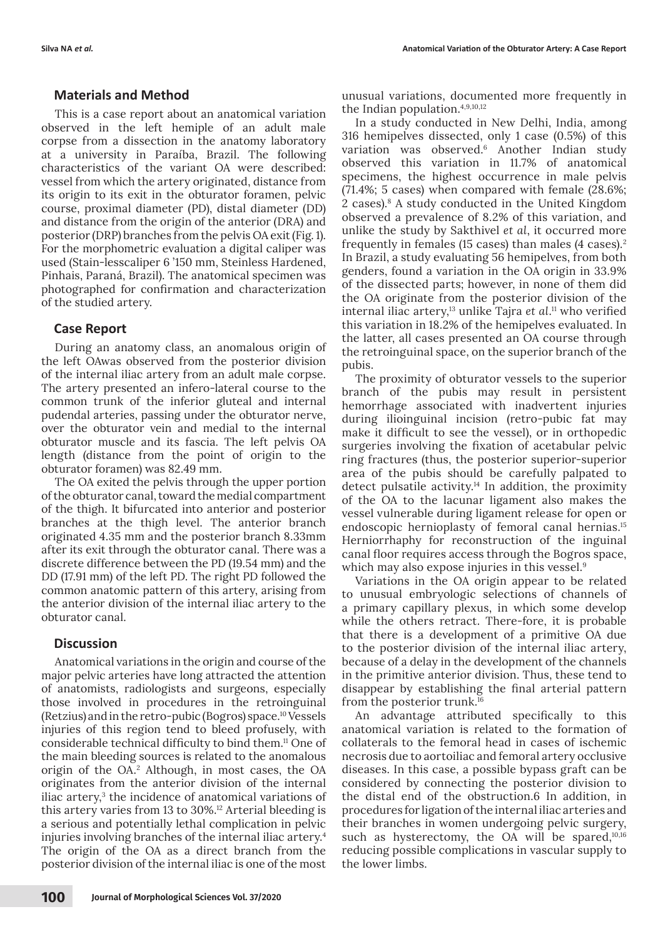#### **Materials and Method**

This is a case report about an anatomical variation observed in the left hemiple of an adult male corpse from a dissection in the anatomy laboratory at a university in Paraíba, Brazil. The following characteristics of the variant OA were described: vessel from which the artery originated, distance from its origin to its exit in the obturator foramen, pelvic course, proximal diameter (PD), distal diameter (DD) and distance from the origin of the anterior (DRA) and posterior (DRP) branches from the pelvis OA exit (Fig. 1). For the morphometric evaluation a digital caliper was used (Stain-lesscaliper 6 '150 mm, Steinless Hardened, Pinhais, Paraná, Brazil). The anatomical specimen was photographed for confirmation and characterization of the studied artery.

#### **Case Report**

During an anatomy class, an anomalous origin of the left OAwas observed from the posterior division of the internal iliac artery from an adult male corpse. The artery presented an infero-lateral course to the common trunk of the inferior gluteal and internal pudendal arteries, passing under the obturator nerve, over the obturator vein and medial to the internal obturator muscle and its fascia. The left pelvis OA length (distance from the point of origin to the obturator foramen) was 82.49 mm.

The OA exited the pelvis through the upper portion of the obturator canal, toward the medial compartment of the thigh. It bifurcated into anterior and posterior branches at the thigh level. The anterior branch originated 4.35 mm and the posterior branch 8.33mm after its exit through the obturator canal. There was a discrete difference between the PD (19.54 mm) and the DD (17.91 mm) of the left PD. The right PD followed the common anatomic pattern of this artery, arising from the anterior division of the internal iliac artery to the obturator canal.

#### **Discussion**

Anatomical variations in the origin and course of the major pelvic arteries have long attracted the attention of anatomists, radiologists and surgeons, especially those involved in procedures in the retroinguinal (Retzius) and in the retro-pubic (Bogros) space.10 Vessels injuries of this region tend to bleed profusely, with considerable technical difficulty to bind them.11 One of the main bleeding sources is related to the anomalous origin of the OA.2 Although, in most cases, the OA originates from the anterior division of the internal iliac artery,<sup>3</sup> the incidence of anatomical variations of this artery varies from 13 to 30%.12 Arterial bleeding is a serious and potentially lethal complication in pelvic injuries involving branches of the internal iliac artery.4 The origin of the OA as a direct branch from the posterior division of the internal iliac is one of the most

unusual variations, documented more frequently in the Indian population.4,9,10,12

In a study conducted in New Delhi, India, among 316 hemipelves dissected, only 1 case (0.5%) of this variation was observed.6 Another Indian study observed this variation in 11.7% of anatomical specimens, the highest occurrence in male pelvis (71.4%; 5 cases) when compared with female (28.6%; 2 cases).8 A study conducted in the United Kingdom observed a prevalence of 8.2% of this variation, and unlike the study by Sakthivel *et al*, it occurred more frequently in females (15 cases) than males (4 cases).2 In Brazil, a study evaluating 56 hemipelves, from both genders, found a variation in the OA origin in 33.9% of the dissected parts; however, in none of them did the OA originate from the posterior division of the internal iliac artery,13 unlike Tajra *et al*. <sup>11</sup> who verified this variation in 18.2% of the hemipelves evaluated. In the latter, all cases presented an OA course through the retroinguinal space, on the superior branch of the pubis.

The proximity of obturator vessels to the superior branch of the pubis may result in persistent hemorrhage associated with inadvertent injuries during ilioinguinal incision (retro-pubic fat may make it difficult to see the vessel), or in orthopedic surgeries involving the fixation of acetabular pelvic ring fractures (thus, the posterior superior-superior area of the pubis should be carefully palpated to detect pulsatile activity. $14$  In addition, the proximity of the OA to the lacunar ligament also makes the vessel vulnerable during ligament release for open or endoscopic hernioplasty of femoral canal hernias.15 Herniorrhaphy for reconstruction of the inguinal canal floor requires access through the Bogros space, which may also expose injuries in this vessel.<sup>9</sup>

Variations in the OA origin appear to be related to unusual embryologic selections of channels of a primary capillary plexus, in which some develop while the others retract. There-fore, it is probable that there is a development of a primitive OA due to the posterior division of the internal iliac artery, because of a delay in the development of the channels in the primitive anterior division. Thus, these tend to disappear by establishing the final arterial pattern from the posterior trunk.16

An advantage attributed specifically to this anatomical variation is related to the formation of collaterals to the femoral head in cases of ischemic necrosis due to aortoiliac and femoral artery occlusive diseases. In this case, a possible bypass graft can be considered by connecting the posterior division to the distal end of the obstruction.6 In addition, in procedures for ligation of the internal iliac arteries and their branches in women undergoing pelvic surgery, such as hysterectomy, the OA will be spared, $10,16$ reducing possible complications in vascular supply to the lower limbs.